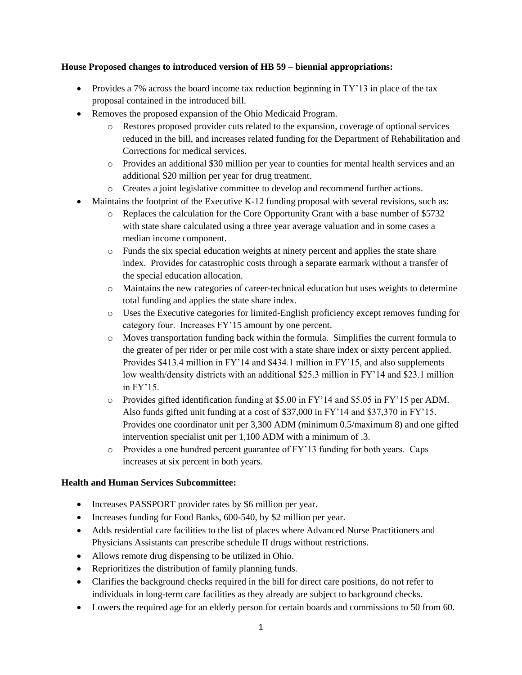#### **House Proposed changes to introduced version of HB 59 – biennial appropriations:**

- Provides a 7% across the board income tax reduction beginning in  $TY'13$  in place of the tax proposal contained in the introduced bill.
- Removes the proposed expansion of the Ohio Medicaid Program.
	- o Restores proposed provider cuts related to the expansion, coverage of optional services reduced in the bill, and increases related funding for the Department of Rehabilitation and Corrections for medical services.
	- o Provides an additional \$30 million per year to counties for mental health services and an additional \$20 million per year for drug treatment.
	- o Creates a joint legislative committee to develop and recommend further actions.
- Maintains the footprint of the Executive K-12 funding proposal with several revisions, such as:
	- o Replaces the calculation for the Core Opportunity Grant with a base number of \$5732 with state share calculated using a three year average valuation and in some cases a median income component.
	- o Funds the six special education weights at ninety percent and applies the state share index. Provides for catastrophic costs through a separate earmark without a transfer of the special education allocation.
	- o Maintains the new categories of career-technical education but uses weights to determine total funding and applies the state share index.
	- o Uses the Executive categories for limited-English proficiency except removes funding for category four. Increases FY'15 amount by one percent.
	- o Moves transportation funding back within the formula. Simplifies the current formula to the greater of per rider or per mile cost with a state share index or sixty percent applied. Provides \$413.4 million in FY'14 and \$434.1 million in FY'15, and also supplements low wealth/density districts with an additional \$25.3 million in FY'14 and \$23.1 million in FY'15.
	- o Provides gifted identification funding at \$5.00 in FY'14 and \$5.05 in FY'15 per ADM. Also funds gifted unit funding at a cost of \$37,000 in FY'14 and \$37,370 in FY'15. Provides one coordinator unit per 3,300 ADM (minimum 0.5/maximum 8) and one gifted intervention specialist unit per 1,100 ADM with a minimum of .3.
	- o Provides a one hundred percent guarantee of FY'13 funding for both years. Caps increases at six percent in both years.

# **Health and Human Services Subcommittee:**

- Increases PASSPORT provider rates by \$6 million per year.
- Increases funding for Food Banks, 600-540, by \$2 million per year.
- Adds residential care facilities to the list of places where Advanced Nurse Practitioners and Physicians Assistants can prescribe schedule II drugs without restrictions.
- Allows remote drug dispensing to be utilized in Ohio.
- Reprioritizes the distribution of family planning funds.
- Clarifies the background checks required in the bill for direct care positions, do not refer to individuals in long-term care facilities as they already are subject to background checks.
- Lowers the required age for an elderly person for certain boards and commissions to 50 from 60.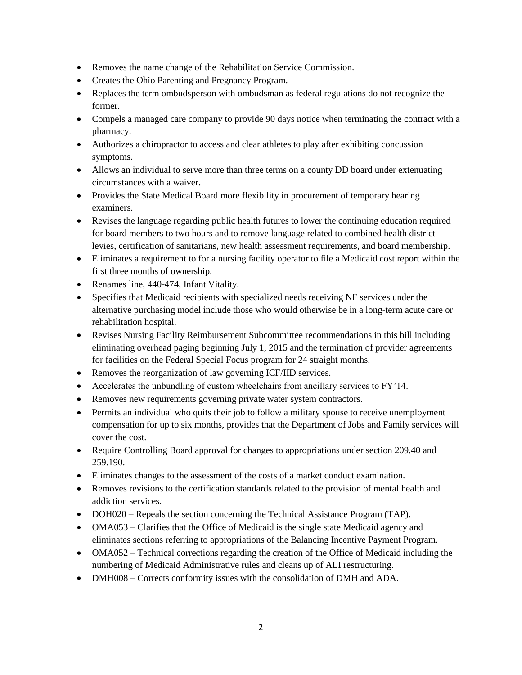- Removes the name change of the Rehabilitation Service Commission.
- Creates the Ohio Parenting and Pregnancy Program.
- Replaces the term ombudsperson with ombudsman as federal regulations do not recognize the former.
- Compels a managed care company to provide 90 days notice when terminating the contract with a pharmacy.
- Authorizes a chiropractor to access and clear athletes to play after exhibiting concussion symptoms.
- Allows an individual to serve more than three terms on a county DD board under extenuating circumstances with a waiver.
- Provides the State Medical Board more flexibility in procurement of temporary hearing examiners.
- Revises the language regarding public health futures to lower the continuing education required for board members to two hours and to remove language related to combined health district levies, certification of sanitarians, new health assessment requirements, and board membership.
- Eliminates a requirement to for a nursing facility operator to file a Medicaid cost report within the first three months of ownership.
- Renames line, 440-474, Infant Vitality.
- Specifies that Medicaid recipients with specialized needs receiving NF services under the alternative purchasing model include those who would otherwise be in a long-term acute care or rehabilitation hospital.
- Revises Nursing Facility Reimbursement Subcommittee recommendations in this bill including eliminating overhead paging beginning July 1, 2015 and the termination of provider agreements for facilities on the Federal Special Focus program for 24 straight months.
- Removes the reorganization of law governing ICF/IID services.
- Accelerates the unbundling of custom wheelchairs from ancillary services to FY'14.
- Removes new requirements governing private water system contractors.
- Permits an individual who quits their job to follow a military spouse to receive unemployment compensation for up to six months, provides that the Department of Jobs and Family services will cover the cost.
- Require Controlling Board approval for changes to appropriations under section 209.40 and 259.190.
- Eliminates changes to the assessment of the costs of a market conduct examination.
- Removes revisions to the certification standards related to the provision of mental health and addiction services.
- DOH020 Repeals the section concerning the Technical Assistance Program (TAP).
- OMA053 Clarifies that the Office of Medicaid is the single state Medicaid agency and eliminates sections referring to appropriations of the Balancing Incentive Payment Program.
- OMA052 Technical corrections regarding the creation of the Office of Medicaid including the numbering of Medicaid Administrative rules and cleans up of ALI restructuring.
- DMH008 Corrects conformity issues with the consolidation of DMH and ADA.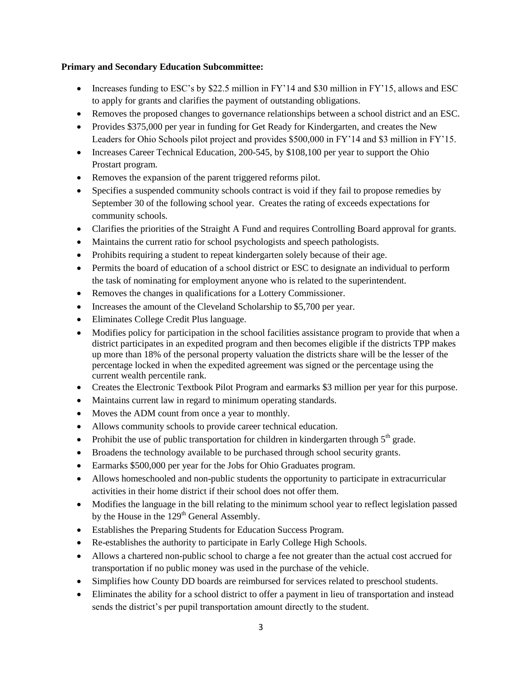#### **Primary and Secondary Education Subcommittee:**

- Increases funding to ESC's by \$22.5 million in FY'14 and \$30 million in FY'15, allows and ESC to apply for grants and clarifies the payment of outstanding obligations.
- Removes the proposed changes to governance relationships between a school district and an ESC.
- Provides \$375,000 per year in funding for Get Ready for Kindergarten, and creates the New Leaders for Ohio Schools pilot project and provides \$500,000 in FY'14 and \$3 million in FY'15.
- Increases Career Technical Education,  $200-545$ , by \$108,100 per year to support the Ohio Prostart program.
- Removes the expansion of the parent triggered reforms pilot.
- Specifies a suspended community schools contract is void if they fail to propose remedies by September 30 of the following school year. Creates the rating of exceeds expectations for community schools.
- Clarifies the priorities of the Straight A Fund and requires Controlling Board approval for grants.
- Maintains the current ratio for school psychologists and speech pathologists.
- Prohibits requiring a student to repeat kindergarten solely because of their age.
- Permits the board of education of a school district or ESC to designate an individual to perform the task of nominating for employment anyone who is related to the superintendent.
- Removes the changes in qualifications for a Lottery Commissioner.
- Increases the amount of the Cleveland Scholarship to \$5,700 per year.
- Eliminates College Credit Plus language.
- Modifies policy for participation in the school facilities assistance program to provide that when a district participates in an expedited program and then becomes eligible if the districts TPP makes up more than 18% of the personal property valuation the districts share will be the lesser of the percentage locked in when the expedited agreement was signed or the percentage using the current wealth percentile rank.
- Creates the Electronic Textbook Pilot Program and earmarks \$3 million per year for this purpose.
- Maintains current law in regard to minimum operating standards.
- Moves the ADM count from once a year to monthly.
- Allows community schools to provide career technical education.
- Prohibit the use of public transportation for children in kindergarten through  $5<sup>th</sup>$  grade.
- Broadens the technology available to be purchased through school security grants.
- Earmarks \$500,000 per year for the Jobs for Ohio Graduates program.
- Allows homeschooled and non-public students the opportunity to participate in extracurricular activities in their home district if their school does not offer them.
- Modifies the language in the bill relating to the minimum school year to reflect legislation passed by the House in the 129<sup>th</sup> General Assembly.
- Establishes the Preparing Students for Education Success Program.
- Re-establishes the authority to participate in Early College High Schools.
- Allows a chartered non-public school to charge a fee not greater than the actual cost accrued for transportation if no public money was used in the purchase of the vehicle.
- Simplifies how County DD boards are reimbursed for services related to preschool students.
- Eliminates the ability for a school district to offer a payment in lieu of transportation and instead sends the district's per pupil transportation amount directly to the student.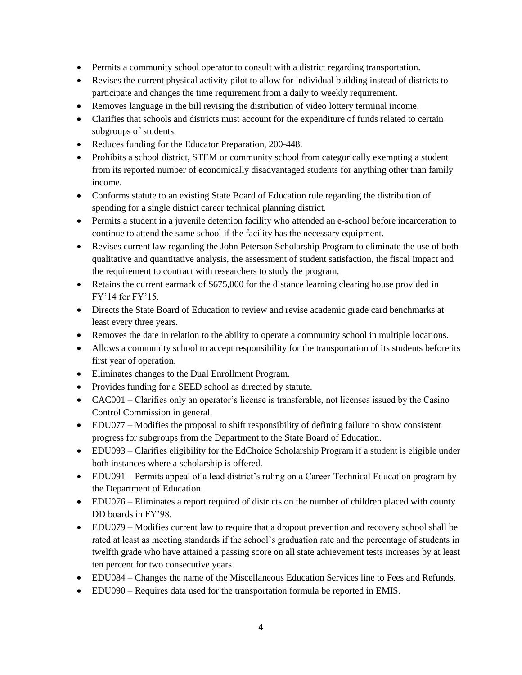- Permits a community school operator to consult with a district regarding transportation.
- Revises the current physical activity pilot to allow for individual building instead of districts to participate and changes the time requirement from a daily to weekly requirement.
- Removes language in the bill revising the distribution of video lottery terminal income.
- Clarifies that schools and districts must account for the expenditure of funds related to certain subgroups of students.
- Reduces funding for the Educator Preparation, 200-448.
- Prohibits a school district, STEM or community school from categorically exempting a student from its reported number of economically disadvantaged students for anything other than family income.
- Conforms statute to an existing State Board of Education rule regarding the distribution of spending for a single district career technical planning district.
- Permits a student in a juvenile detention facility who attended an e-school before incarceration to continue to attend the same school if the facility has the necessary equipment.
- Revises current law regarding the John Peterson Scholarship Program to eliminate the use of both qualitative and quantitative analysis, the assessment of student satisfaction, the fiscal impact and the requirement to contract with researchers to study the program.
- Retains the current earmark of \$675,000 for the distance learning clearing house provided in FY'14 for FY'15.
- Directs the State Board of Education to review and revise academic grade card benchmarks at least every three years.
- Removes the date in relation to the ability to operate a community school in multiple locations.
- Allows a community school to accept responsibility for the transportation of its students before its first year of operation.
- Eliminates changes to the Dual Enrollment Program.
- Provides funding for a SEED school as directed by statute.
- CAC001 Clarifies only an operator's license is transferable, not licenses issued by the Casino Control Commission in general.
- EDU077 Modifies the proposal to shift responsibility of defining failure to show consistent progress for subgroups from the Department to the State Board of Education.
- EDU093 Clarifies eligibility for the EdChoice Scholarship Program if a student is eligible under both instances where a scholarship is offered.
- EDU091 Permits appeal of a lead district's ruling on a Career-Technical Education program by the Department of Education.
- EDU076 Eliminates a report required of districts on the number of children placed with county DD boards in FY'98.
- EDU079 Modifies current law to require that a dropout prevention and recovery school shall be rated at least as meeting standards if the school's graduation rate and the percentage of students in twelfth grade who have attained a passing score on all state achievement tests increases by at least ten percent for two consecutive years.
- EDU084 Changes the name of the Miscellaneous Education Services line to Fees and Refunds.
- EDU090 Requires data used for the transportation formula be reported in EMIS.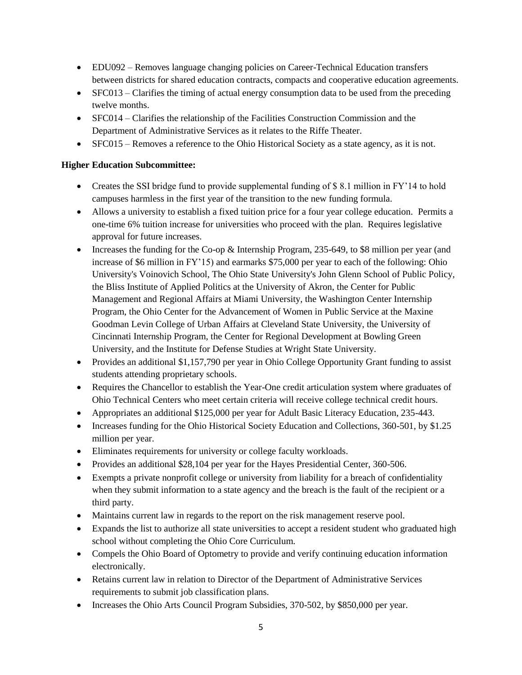- EDU092 Removes language changing policies on Career-Technical Education transfers between districts for shared education contracts, compacts and cooperative education agreements.
- SFC013 Clarifies the timing of actual energy consumption data to be used from the preceding twelve months.
- SFC014 Clarifies the relationship of the Facilities Construction Commission and the Department of Administrative Services as it relates to the Riffe Theater.
- SFC015 Removes a reference to the Ohio Historical Society as a state agency, as it is not.

# **Higher Education Subcommittee:**

- Creates the SSI bridge fund to provide supplemental funding of \$8.1 million in FY'14 to hold campuses harmless in the first year of the transition to the new funding formula.
- Allows a university to establish a fixed tuition price for a four year college education. Permits a one-time 6% tuition increase for universities who proceed with the plan. Requires legislative approval for future increases.
- Increases the funding for the Co-op  $\&$  Internship Program, 235-649, to \$8 million per year (and increase of \$6 million in FY'15) and earmarks \$75,000 per year to each of the following: Ohio University's Voinovich School, The Ohio State University's John Glenn School of Public Policy, the Bliss Institute of Applied Politics at the University of Akron, the Center for Public Management and Regional Affairs at Miami University, the Washington Center Internship Program, the Ohio Center for the Advancement of Women in Public Service at the Maxine Goodman Levin College of Urban Affairs at Cleveland State University, the University of Cincinnati Internship Program, the Center for Regional Development at Bowling Green University, and the Institute for Defense Studies at Wright State University.
- Provides an additional \$1,157,790 per year in Ohio College Opportunity Grant funding to assist students attending proprietary schools.
- Requires the Chancellor to establish the Year-One credit articulation system where graduates of Ohio Technical Centers who meet certain criteria will receive college technical credit hours.
- Appropriates an additional \$125,000 per year for Adult Basic Literacy Education, 235-443.
- Increases funding for the Ohio Historical Society Education and Collections, 360-501, by \$1.25 million per year.
- Eliminates requirements for university or college faculty workloads.
- Provides an additional \$28,104 per year for the Hayes Presidential Center, 360-506.
- Exempts a private nonprofit college or university from liability for a breach of confidentiality when they submit information to a state agency and the breach is the fault of the recipient or a third party.
- Maintains current law in regards to the report on the risk management reserve pool.
- Expands the list to authorize all state universities to accept a resident student who graduated high school without completing the Ohio Core Curriculum.
- Compels the Ohio Board of Optometry to provide and verify continuing education information electronically.
- Retains current law in relation to Director of the Department of Administrative Services requirements to submit job classification plans.
- Increases the Ohio Arts Council Program Subsidies, 370-502, by \$850,000 per year.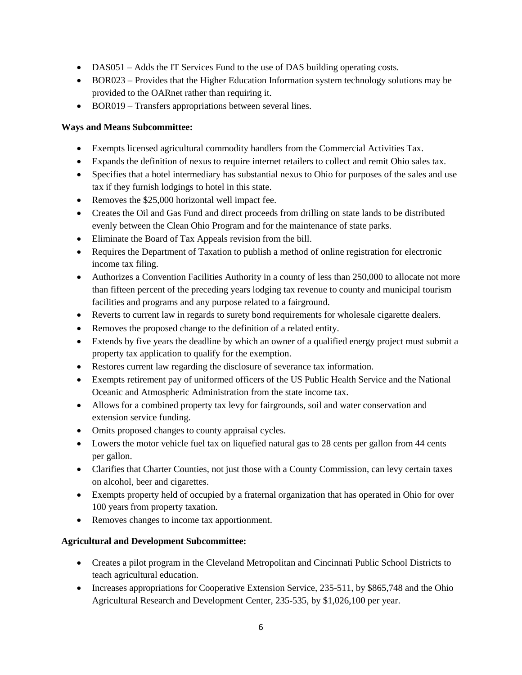- DAS051 Adds the IT Services Fund to the use of DAS building operating costs.
- BOR023 Provides that the Higher Education Information system technology solutions may be provided to the OARnet rather than requiring it.
- BOR019 Transfers appropriations between several lines.

### **Ways and Means Subcommittee:**

- Exempts licensed agricultural commodity handlers from the Commercial Activities Tax.
- Expands the definition of nexus to require internet retailers to collect and remit Ohio sales tax.
- Specifies that a hotel intermediary has substantial nexus to Ohio for purposes of the sales and use tax if they furnish lodgings to hotel in this state.
- Removes the \$25,000 horizontal well impact fee.
- Creates the Oil and Gas Fund and direct proceeds from drilling on state lands to be distributed evenly between the Clean Ohio Program and for the maintenance of state parks.
- Eliminate the Board of Tax Appeals revision from the bill.
- Requires the Department of Taxation to publish a method of online registration for electronic income tax filing.
- Authorizes a Convention Facilities Authority in a county of less than 250,000 to allocate not more than fifteen percent of the preceding years lodging tax revenue to county and municipal tourism facilities and programs and any purpose related to a fairground.
- Reverts to current law in regards to surety bond requirements for wholesale cigarette dealers.
- Removes the proposed change to the definition of a related entity.
- Extends by five years the deadline by which an owner of a qualified energy project must submit a property tax application to qualify for the exemption.
- Restores current law regarding the disclosure of severance tax information.
- Exempts retirement pay of uniformed officers of the US Public Health Service and the National Oceanic and Atmospheric Administration from the state income tax.
- Allows for a combined property tax levy for fairgrounds, soil and water conservation and extension service funding.
- Omits proposed changes to county appraisal cycles.
- Lowers the motor vehicle fuel tax on liquefied natural gas to 28 cents per gallon from 44 cents per gallon.
- Clarifies that Charter Counties, not just those with a County Commission, can levy certain taxes on alcohol, beer and cigarettes.
- Exempts property held of occupied by a fraternal organization that has operated in Ohio for over 100 years from property taxation.
- Removes changes to income tax apportionment.

# **Agricultural and Development Subcommittee:**

- Creates a pilot program in the Cleveland Metropolitan and Cincinnati Public School Districts to teach agricultural education.
- Increases appropriations for Cooperative Extension Service, 235-511, by \$865,748 and the Ohio Agricultural Research and Development Center, 235-535, by \$1,026,100 per year.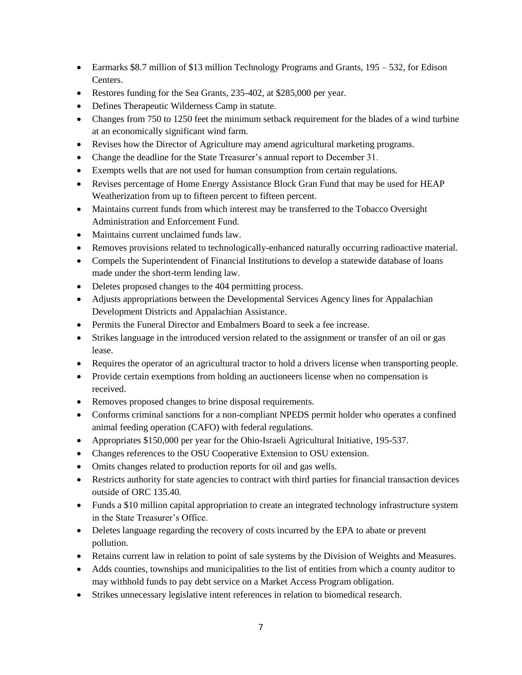- Earmarks \$8.7 million of \$13 million Technology Programs and Grants, 195 532, for Edison Centers.
- Restores funding for the Sea Grants, 235-402, at \$285,000 per year.
- Defines Therapeutic Wilderness Camp in statute.
- Changes from 750 to 1250 feet the minimum setback requirement for the blades of a wind turbine at an economically significant wind farm.
- Revises how the Director of Agriculture may amend agricultural marketing programs.
- Change the deadline for the State Treasurer's annual report to December 31.
- Exempts wells that are not used for human consumption from certain regulations.
- Revises percentage of Home Energy Assistance Block Gran Fund that may be used for HEAP Weatherization from up to fifteen percent to fifteen percent.
- Maintains current funds from which interest may be transferred to the Tobacco Oversight Administration and Enforcement Fund.
- Maintains current unclaimed funds law.
- Removes provisions related to technologically-enhanced naturally occurring radioactive material.
- Compels the Superintendent of Financial Institutions to develop a statewide database of loans made under the short-term lending law.
- Deletes proposed changes to the 404 permitting process.
- Adjusts appropriations between the Developmental Services Agency lines for Appalachian Development Districts and Appalachian Assistance.
- Permits the Funeral Director and Embalmers Board to seek a fee increase.
- Strikes language in the introduced version related to the assignment or transfer of an oil or gas lease.
- Requires the operator of an agricultural tractor to hold a drivers license when transporting people.
- Provide certain exemptions from holding an auctioneers license when no compensation is received.
- Removes proposed changes to brine disposal requirements.
- Conforms criminal sanctions for a non-compliant NPEDS permit holder who operates a confined animal feeding operation (CAFO) with federal regulations.
- Appropriates \$150,000 per year for the Ohio-Israeli Agricultural Initiative, 195-537.
- Changes references to the OSU Cooperative Extension to OSU extension.
- Omits changes related to production reports for oil and gas wells.
- Restricts authority for state agencies to contract with third parties for financial transaction devices outside of ORC 135.40.
- Funds a \$10 million capital appropriation to create an integrated technology infrastructure system in the State Treasurer's Office.
- Deletes language regarding the recovery of costs incurred by the EPA to abate or prevent pollution.
- Retains current law in relation to point of sale systems by the Division of Weights and Measures.
- Adds counties, townships and municipalities to the list of entities from which a county auditor to may withhold funds to pay debt service on a Market Access Program obligation.
- Strikes unnecessary legislative intent references in relation to biomedical research.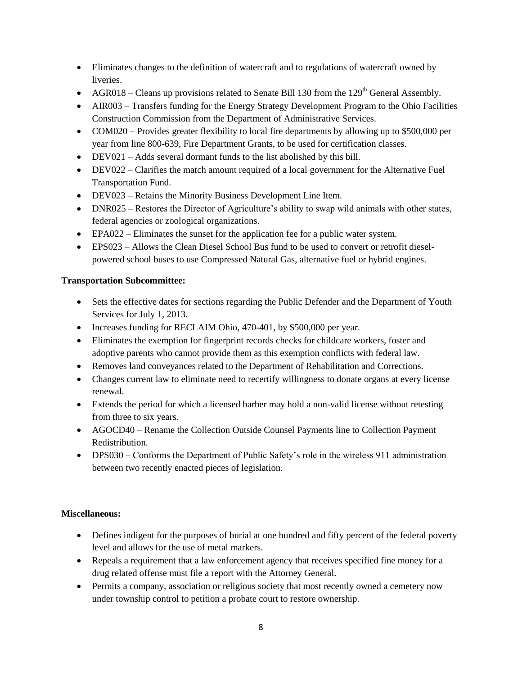- Eliminates changes to the definition of watercraft and to regulations of watercraft owned by liveries.
- AGR018 Cleans up provisions related to Senate Bill 130 from the  $129<sup>th</sup>$  General Assembly.
- AIR003 Transfers funding for the Energy Strategy Development Program to the Ohio Facilities Construction Commission from the Department of Administrative Services.
- COM020 Provides greater flexibility to local fire departments by allowing up to \$500,000 per year from line 800-639, Fire Department Grants, to be used for certification classes.
- DEV021 Adds several dormant funds to the list abolished by this bill.
- DEV022 Clarifies the match amount required of a local government for the Alternative Fuel Transportation Fund.
- DEV023 Retains the Minority Business Development Line Item.
- DNR025 Restores the Director of Agriculture's ability to swap wild animals with other states, federal agencies or zoological organizations.
- EPA022 Eliminates the sunset for the application fee for a public water system.
- EPS023 Allows the Clean Diesel School Bus fund to be used to convert or retrofit dieselpowered school buses to use Compressed Natural Gas, alternative fuel or hybrid engines.

# **Transportation Subcommittee:**

- Sets the effective dates for sections regarding the Public Defender and the Department of Youth Services for July 1, 2013.
- Increases funding for RECLAIM Ohio, 470-401, by \$500,000 per year.
- Eliminates the exemption for fingerprint records checks for childcare workers, foster and adoptive parents who cannot provide them as this exemption conflicts with federal law.
- Removes land conveyances related to the Department of Rehabilitation and Corrections.
- Changes current law to eliminate need to recertify willingness to donate organs at every license renewal.
- Extends the period for which a licensed barber may hold a non-valid license without retesting from three to six years.
- AGOCD40 Rename the Collection Outside Counsel Payments line to Collection Payment Redistribution.
- DPS030 Conforms the Department of Public Safety's role in the wireless 911 administration between two recently enacted pieces of legislation.

# **Miscellaneous:**

- Defines indigent for the purposes of burial at one hundred and fifty percent of the federal poverty level and allows for the use of metal markers.
- Repeals a requirement that a law enforcement agency that receives specified fine money for a drug related offense must file a report with the Attorney General.
- Permits a company, association or religious society that most recently owned a cemetery now under township control to petition a probate court to restore ownership.